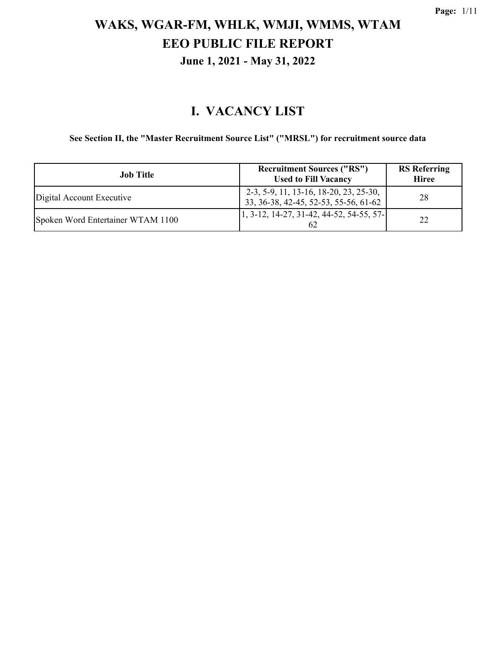#### **I. VACANCY LIST**

#### **See Section II, the "Master Recruitment Source List" ("MRSL") for recruitment source data**

| Job Title                         | <b>Recruitment Sources ("RS")</b><br><b>Used to Fill Vacancy</b>                | <b>RS</b> Referring<br><b>Hiree</b> |
|-----------------------------------|---------------------------------------------------------------------------------|-------------------------------------|
| Digital Account Executive         | 2-3, 5-9, 11, 13-16, 18-20, 23, 25-30,<br>33, 36-38, 42-45, 52-53, 55-56, 61-62 | 28                                  |
| Spoken Word Entertainer WTAM 1100 | $\vert 1, 3 - 12, 14 - 27, 31 - 42, 44 - 52, 54 - 55, 57 - \vert$<br>-62        | 22                                  |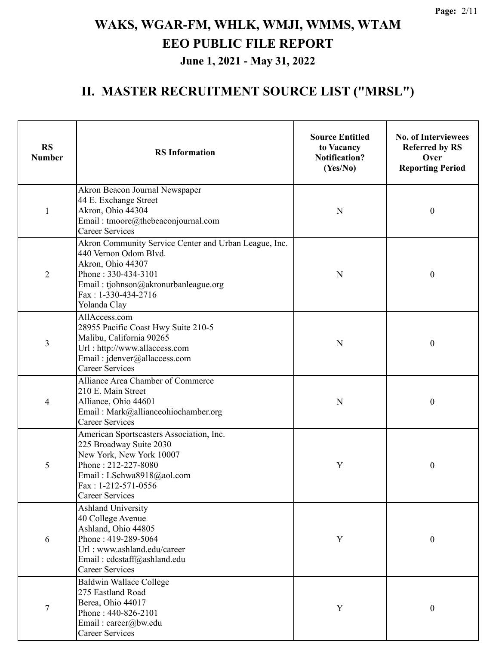| <b>RS</b><br><b>Number</b> | <b>RS</b> Information                                                                                                                                                                                     | <b>Source Entitled</b><br>to Vacancy<br><b>Notification?</b><br>(Yes/No) | <b>No. of Interviewees</b><br><b>Referred by RS</b><br>Over<br><b>Reporting Period</b> |
|----------------------------|-----------------------------------------------------------------------------------------------------------------------------------------------------------------------------------------------------------|--------------------------------------------------------------------------|----------------------------------------------------------------------------------------|
| $\mathbf{1}$               | Akron Beacon Journal Newspaper<br>44 E. Exchange Street<br>Akron, Ohio 44304<br>Email: tmoore@thebeaconjournal.com<br><b>Career Services</b>                                                              | N                                                                        | $\boldsymbol{0}$                                                                       |
| $\overline{2}$             | Akron Community Service Center and Urban League, Inc.<br>440 Vernon Odom Blvd.<br>Akron, Ohio 44307<br>Phone: 330-434-3101<br>Email: tjohnson@akronurbanleague.org<br>Fax: 1-330-434-2716<br>Yolanda Clay | N                                                                        | $\boldsymbol{0}$                                                                       |
| 3                          | AllAccess.com<br>28955 Pacific Coast Hwy Suite 210-5<br>Malibu, California 90265<br>Url: http://www.allaccess.com<br>Email: jdenver@allaccess.com<br><b>Career Services</b>                               | ${\bf N}$                                                                | $\boldsymbol{0}$                                                                       |
| 4                          | Alliance Area Chamber of Commerce<br>210 E. Main Street<br>Alliance, Ohio 44601<br>Email: Mark@allianceohiochamber.org<br><b>Career Services</b>                                                          | N                                                                        | $\boldsymbol{0}$                                                                       |
| 5                          | American Sportscasters Association, Inc.<br>225 Broadway Suite 2030<br>New York, New York 10007<br>Phone: 212-227-8080<br>Email: LSchwa8918@aol.com<br>$Fax: 1-212-571-0556$<br><b>Career Services</b>    | Y                                                                        | $\boldsymbol{0}$                                                                       |
| 6                          | <b>Ashland University</b><br>40 College Avenue<br>Ashland, Ohio 44805<br>Phone: 419-289-5064<br>Url: www.ashland.edu/career<br>Email: cdcstaff@ashland.edu<br><b>Career Services</b>                      |                                                                          | $\boldsymbol{0}$                                                                       |
| 7                          | <b>Baldwin Wallace College</b><br>275 Eastland Road<br>Berea, Ohio 44017<br>Phone: 440-826-2101<br>Email: career@bw.edu<br><b>Career Services</b>                                                         | Y                                                                        | $\boldsymbol{0}$                                                                       |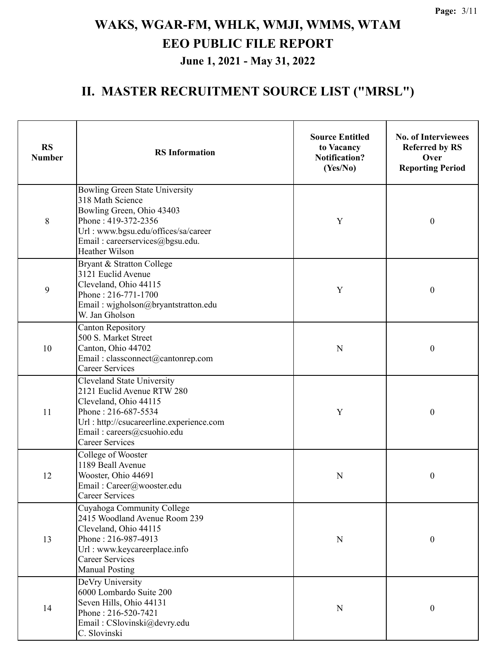| <b>RS</b><br><b>Number</b> | <b>RS</b> Information                                                                                                                                                                                        | <b>Source Entitled</b><br>to Vacancy<br><b>Notification?</b><br>(Yes/No) | <b>No. of Interviewees</b><br><b>Referred by RS</b><br>Over<br><b>Reporting Period</b> |
|----------------------------|--------------------------------------------------------------------------------------------------------------------------------------------------------------------------------------------------------------|--------------------------------------------------------------------------|----------------------------------------------------------------------------------------|
| 8                          | Bowling Green State University<br>318 Math Science<br>Bowling Green, Ohio 43403<br>Phone: 419-372-2356<br>Url: www.bgsu.edu/offices/sa/career<br>Email: careerservices@bgsu.edu.<br>Heather Wilson           | Y                                                                        | $\boldsymbol{0}$                                                                       |
| 9                          | Bryant & Stratton College<br>3121 Euclid Avenue<br>Cleveland, Ohio 44115<br>Phone: 216-771-1700<br>Email: wjgholson@bryantstratton.edu<br>W. Jan Gholson                                                     | Y                                                                        | $\boldsymbol{0}$                                                                       |
| 10                         | <b>Canton Repository</b><br>500 S. Market Street<br>Canton, Ohio 44702<br>Email: classconnect@cantonrep.com<br><b>Career Services</b>                                                                        |                                                                          | $\boldsymbol{0}$                                                                       |
| 11                         | Cleveland State University<br>2121 Euclid Avenue RTW 280<br>Cleveland, Ohio 44115<br>Phone: 216-687-5534<br>Url: http://csucareerline.experience.com<br>Email: careers@csuohio.edu<br><b>Career Services</b> | Y                                                                        | $\boldsymbol{0}$                                                                       |
| 12                         | College of Wooster<br>1189 Beall Avenue<br>Wooster, Ohio 44691<br>Email: Career@wooster.edu<br><b>Career Services</b>                                                                                        |                                                                          | $\boldsymbol{0}$                                                                       |
| 13                         | Cuyahoga Community College<br>2415 Woodland Avenue Room 239<br>Cleveland, Ohio 44115<br>Phone: 216-987-4913<br>Url: www.keycareerplace.info<br><b>Career Services</b><br><b>Manual Posting</b>               | ${\bf N}$                                                                | $\boldsymbol{0}$                                                                       |
| 14                         | DeVry University<br>6000 Lombardo Suite 200<br>Seven Hills, Ohio 44131<br>Phone: 216-520-7421<br>Email: CSlovinski@devry.edu<br>C. Slovinski                                                                 | ${\bf N}$                                                                | $\boldsymbol{0}$                                                                       |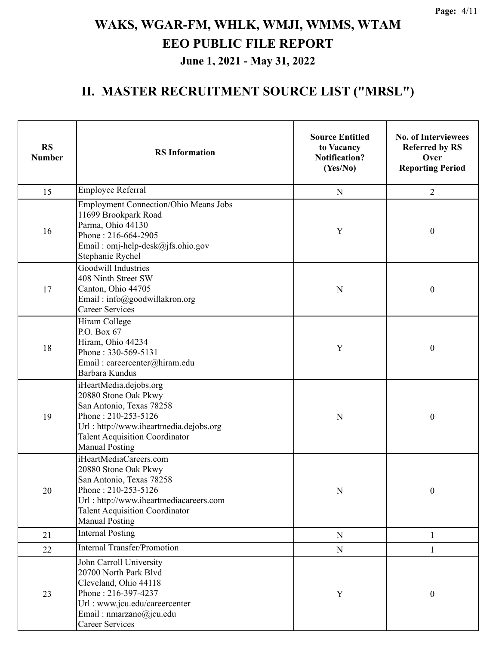| <b>RS</b><br><b>Number</b>                                                                                                                                                                                          | <b>RS</b> Information                                                                                                                                                                                         | <b>Source Entitled</b><br>to Vacancy<br><b>Notification?</b><br>(Yes/No) | <b>No. of Interviewees</b><br><b>Referred by RS</b><br>Over<br><b>Reporting Period</b> |
|---------------------------------------------------------------------------------------------------------------------------------------------------------------------------------------------------------------------|---------------------------------------------------------------------------------------------------------------------------------------------------------------------------------------------------------------|--------------------------------------------------------------------------|----------------------------------------------------------------------------------------|
| 15                                                                                                                                                                                                                  | <b>Employee Referral</b>                                                                                                                                                                                      | ${\bf N}$                                                                | $\overline{2}$                                                                         |
| 16                                                                                                                                                                                                                  | <b>Employment Connection/Ohio Means Jobs</b><br>11699 Brookpark Road<br>Parma, Ohio 44130<br>Phone: 216-664-2905<br>Email: omj-help-desk@jfs.ohio.gov<br>Stephanie Rychel                                     | $\mathbf Y$                                                              | $\boldsymbol{0}$                                                                       |
| 17                                                                                                                                                                                                                  | Goodwill Industries<br>408 Ninth Street SW<br>Canton, Ohio 44705<br>Email: info@goodwillakron.org<br><b>Career Services</b>                                                                                   | N                                                                        | $\boldsymbol{0}$                                                                       |
| 18                                                                                                                                                                                                                  | Hiram College<br>P.O. Box 67<br>Hiram, Ohio 44234<br>Phone: 330-569-5131<br>Email: careercenter@hiram.edu<br>Barbara Kundus                                                                                   | Y                                                                        | $\boldsymbol{0}$                                                                       |
| 19                                                                                                                                                                                                                  | iHeartMedia.dejobs.org<br>20880 Stone Oak Pkwy<br>San Antonio, Texas 78258<br>Phone: 210-253-5126<br>Url: http://www.iheartmedia.dejobs.org<br><b>Talent Acquisition Coordinator</b><br><b>Manual Posting</b> | N                                                                        | $\boldsymbol{0}$                                                                       |
| iHeartMediaCareers.com<br>20880 Stone Oak Pkwy<br>San Antonio, Texas 78258<br>Phone: 210-253-5126<br>20<br>Url: http://www.iheartmediacareers.com<br><b>Talent Acquisition Coordinator</b><br><b>Manual Posting</b> |                                                                                                                                                                                                               | ${\bf N}$                                                                | $\boldsymbol{0}$                                                                       |
| 21                                                                                                                                                                                                                  | <b>Internal Posting</b>                                                                                                                                                                                       | ${\bf N}$                                                                | 1                                                                                      |
| 22                                                                                                                                                                                                                  | <b>Internal Transfer/Promotion</b>                                                                                                                                                                            | ${\bf N}$                                                                | 1                                                                                      |
| 23                                                                                                                                                                                                                  | John Carroll University<br>20700 North Park Blvd<br>Cleveland, Ohio 44118<br>Phone: 216-397-4237<br>Url : www.jcu.edu/careercenter<br>Email: nmarzano@jcu.edu<br><b>Career Services</b>                       | Y                                                                        | $\boldsymbol{0}$                                                                       |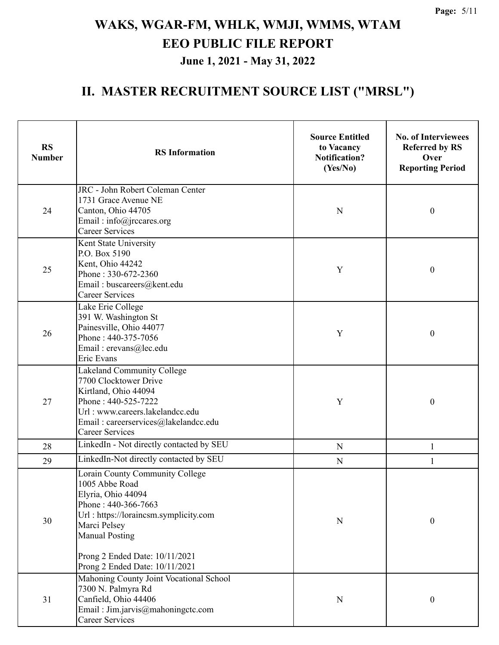| <b>RS</b><br><b>Number</b> | <b>RS</b> Information                                                                                                                                                                                   | <b>Source Entitled</b><br>to Vacancy<br><b>Notification?</b><br>(Yes/No) | <b>No. of Interviewees</b><br><b>Referred by RS</b><br>Over<br><b>Reporting Period</b> |
|----------------------------|---------------------------------------------------------------------------------------------------------------------------------------------------------------------------------------------------------|--------------------------------------------------------------------------|----------------------------------------------------------------------------------------|
| 24                         | JRC - John Robert Coleman Center<br>1731 Grace Avenue NE<br>Canton, Ohio 44705<br>Email: info@jrccares.org<br><b>Career Services</b>                                                                    | N                                                                        | $\boldsymbol{0}$                                                                       |
| 25                         | Kent State University<br>P.O. Box 5190<br>Kent, Ohio 44242<br>Phone: 330-672-2360<br>Email: buscareers@kent.edu<br><b>Career Services</b>                                                               | Y                                                                        | $\boldsymbol{0}$                                                                       |
| 26                         | Lake Erie College<br>391 W. Washington St<br>Painesville, Ohio 44077<br>Phone: 440-375-7056<br>Email: erevans@lec.edu<br>Eric Evans                                                                     | Y                                                                        | $\boldsymbol{0}$                                                                       |
| 27                         | Lakeland Community College<br>7700 Clocktower Drive<br>Kirtland, Ohio 44094<br>Phone: 440-525-7222<br>Url: www.careers.lakelandcc.edu<br>Email: careerservices@lakelandcc.edu<br><b>Career Services</b> |                                                                          | $\boldsymbol{0}$                                                                       |
| 28                         | LinkedIn - Not directly contacted by SEU                                                                                                                                                                | $\mathbf N$                                                              | $\mathbf{1}$                                                                           |
| 29                         | LinkedIn-Not directly contacted by SEU                                                                                                                                                                  | ${\bf N}$                                                                | $\mathbf{1}$                                                                           |
| 30                         | Lorain County Community College<br>1005 Abbe Road<br>Elyria, Ohio 44094<br>Phone: 440-366-7663<br>Url: https://loraincsm.symplicity.com<br>Marci Pelsey<br><b>Manual Posting</b>                        | ${\bf N}$                                                                | $\boldsymbol{0}$                                                                       |
|                            | Prong 2 Ended Date: 10/11/2021<br>Prong 2 Ended Date: 10/11/2021                                                                                                                                        |                                                                          |                                                                                        |
| 31                         | Mahoning County Joint Vocational School<br>7300 N. Palmyra Rd<br>Canfield, Ohio 44406<br>Email: Jim.jarvis@mahoningctc.com<br>Career Services                                                           | N                                                                        | $\boldsymbol{0}$                                                                       |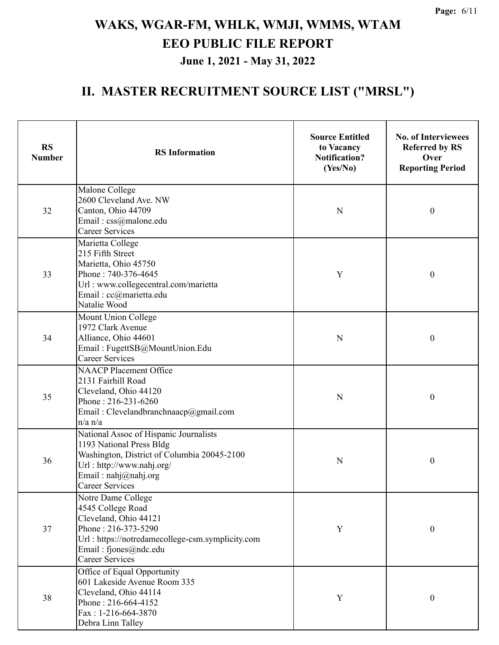| <b>RS</b><br><b>Number</b> | <b>RS</b> Information                                                                                                                                                                            | <b>Source Entitled</b><br>to Vacancy<br><b>Notification?</b><br>(Yes/No) | <b>No. of Interviewees</b><br><b>Referred by RS</b><br>Over<br><b>Reporting Period</b> |
|----------------------------|--------------------------------------------------------------------------------------------------------------------------------------------------------------------------------------------------|--------------------------------------------------------------------------|----------------------------------------------------------------------------------------|
| 32                         | Malone College<br>2600 Cleveland Ave. NW<br>Canton, Ohio 44709<br>Email: css@malone.edu<br><b>Career Services</b>                                                                                | N                                                                        | $\boldsymbol{0}$                                                                       |
| 33                         | Marietta College<br>215 Fifth Street<br>Marietta, Ohio 45750<br>Phone: 740-376-4645<br>Url : www.collegecentral.com/marietta<br>Email: cc@marietta.edu<br>Natalie Wood                           | Y                                                                        | $\boldsymbol{0}$                                                                       |
| 34                         | Mount Union College<br>1972 Clark Avenue<br>Alliance, Ohio 44601<br>Email: FugettSB@MountUnion.Edu<br><b>Career Services</b>                                                                     | N                                                                        | $\boldsymbol{0}$                                                                       |
| 35                         | <b>NAACP Placement Office</b><br>2131 Fairhill Road<br>Cleveland, Ohio 44120<br>Phone: 216-231-6260<br>Email: Clevelandbranchnaacp@gmail.com<br>$n/a$ $n/a$                                      | N                                                                        | $\boldsymbol{0}$                                                                       |
| 36                         | National Assoc of Hispanic Journalists<br>1193 National Press Bldg<br>Washington, District of Columbia 20045-2100<br>Url: http://www.nahj.org/<br>Email: nahj@nahj.org<br><b>Career Services</b> | N                                                                        | $\boldsymbol{0}$                                                                       |
| 37                         | Notre Dame College<br>4545 College Road<br>Cleveland, Ohio 44121<br>Phone: 216-373-5290<br>Url: https://notredamecollege-csm.symplicity.com<br>Email: fjones@ndc.edu<br><b>Career Services</b>   | $\mathbf Y$                                                              | $\boldsymbol{0}$                                                                       |
| 38                         | Office of Equal Opportunity<br>601 Lakeside Avenue Room 335<br>Cleveland, Ohio 44114<br>Phone: 216-664-4152<br>Fax: 1-216-664-3870<br>Debra Linn Talley                                          | $\mathbf Y$                                                              | $\boldsymbol{0}$                                                                       |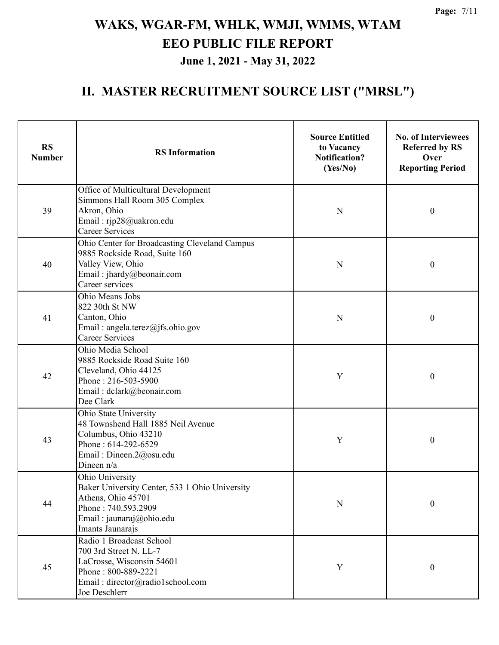| <b>RS</b><br><b>Number</b> | <b>RS</b> Information                                                                                                                                          | <b>Source Entitled</b><br>to Vacancy<br><b>Notification?</b><br>(Yes/No) | <b>No. of Interviewees</b><br><b>Referred by RS</b><br>Over<br><b>Reporting Period</b> |
|----------------------------|----------------------------------------------------------------------------------------------------------------------------------------------------------------|--------------------------------------------------------------------------|----------------------------------------------------------------------------------------|
| 39                         | Office of Multicultural Development<br>Simmons Hall Room 305 Complex<br>Akron, Ohio<br>Email: rjp28@uakron.edu<br>Career Services                              | N                                                                        | $\boldsymbol{0}$                                                                       |
| 40                         | Ohio Center for Broadcasting Cleveland Campus<br>9885 Rockside Road, Suite 160<br>Valley View, Ohio<br>Email: jhardy@beonair.com<br>Career services            | N                                                                        | $\boldsymbol{0}$                                                                       |
| 41                         | Ohio Means Jobs<br>822 30th St NW<br>Canton, Ohio<br>Email: angela.terez@jfs.ohio.gov<br><b>Career Services</b>                                                |                                                                          | $\boldsymbol{0}$                                                                       |
| 42                         | Ohio Media School<br>9885 Rockside Road Suite 160<br>Cleveland, Ohio 44125<br>Phone: 216-503-5900<br>Email: dclark@beonair.com<br>Dee Clark                    | Y                                                                        | $\boldsymbol{0}$                                                                       |
| 43                         | Ohio State University<br>48 Townshend Hall 1885 Neil Avenue<br>Columbus, Ohio 43210<br>Phone: 614-292-6529<br>Email: Dineen.2@osu.edu<br>Dineen n/a            | Y                                                                        | $\boldsymbol{0}$                                                                       |
| 44                         | Ohio University<br>Baker University Center, 533 1 Ohio University<br>Athens, Ohio 45701<br>Phone: 740.593.2909<br>Email: jaunaraj@ohio.edu<br>Imants Jaunarajs | ${\bf N}$                                                                | $\boldsymbol{0}$                                                                       |
| 45                         | Radio 1 Broadcast School<br>700 3rd Street N. LL-7<br>LaCrosse, Wisconsin 54601<br>Phone: 800-889-2221<br>Email: director@radio1school.com<br>Joe Deschlerr    | Y                                                                        | $\boldsymbol{0}$                                                                       |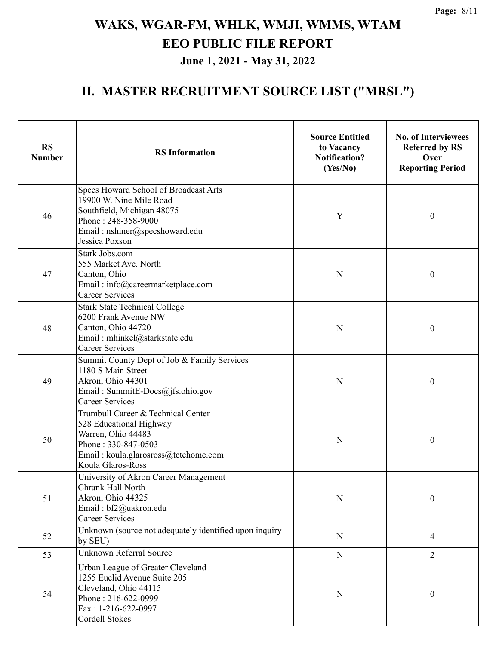| <b>RS</b><br><b>Number</b>                                                                                                               | <b>RS</b> Information                                                                                                                                                     | <b>Source Entitled</b><br>to Vacancy<br><b>Notification?</b><br>(Yes/No) | <b>No. of Interviewees</b><br><b>Referred by RS</b><br>Over<br><b>Reporting Period</b> |
|------------------------------------------------------------------------------------------------------------------------------------------|---------------------------------------------------------------------------------------------------------------------------------------------------------------------------|--------------------------------------------------------------------------|----------------------------------------------------------------------------------------|
| 46                                                                                                                                       | Specs Howard School of Broadcast Arts<br>19900 W. Nine Mile Road<br>Southfield, Michigan 48075<br>Phone: 248-358-9000<br>Email: nshiner@specshoward.edu<br>Jessica Poxson | Y                                                                        | $\boldsymbol{0}$                                                                       |
| 47                                                                                                                                       | Stark Jobs.com<br>555 Market Ave. North<br>Canton, Ohio<br>Email: info@careermarketplace.com<br><b>Career Services</b>                                                    | N                                                                        | $\boldsymbol{0}$                                                                       |
| 48                                                                                                                                       | <b>Stark State Technical College</b><br>6200 Frank Avenue NW<br>Canton, Ohio 44720<br>Email: mhinkel@starkstate.edu<br><b>Career Services</b>                             | N                                                                        | $\boldsymbol{0}$                                                                       |
| 49                                                                                                                                       | Summit County Dept of Job & Family Services<br>1180 S Main Street<br>Akron, Ohio 44301<br>Email: SummitE-Docs@jfs.ohio.gov<br><b>Career Services</b>                      | N                                                                        | $\boldsymbol{0}$                                                                       |
| 50                                                                                                                                       | Trumbull Career & Technical Center<br>528 Educational Highway<br>Warren, Ohio 44483<br>Phone: 330-847-0503<br>Email: koula.glarosross@tctchome.com<br>Koula Glaros-Ross   |                                                                          | $\boldsymbol{0}$                                                                       |
| University of Akron Career Management<br>Chrank Hall North<br>Akron, Ohio 44325<br>51<br>Email: bf2@uakron.edu<br><b>Career Services</b> |                                                                                                                                                                           | N                                                                        | 0                                                                                      |
| 52                                                                                                                                       | Unknown (source not adequately identified upon inquiry<br>by SEU)                                                                                                         | ${\bf N}$                                                                | $\overline{4}$                                                                         |
| 53                                                                                                                                       | <b>Unknown Referral Source</b>                                                                                                                                            | ${\bf N}$                                                                | $\overline{2}$                                                                         |
| 54                                                                                                                                       | Urban League of Greater Cleveland<br>1255 Euclid Avenue Suite 205<br>Cleveland, Ohio 44115<br>Phone: 216-622-0999<br>Fax: 1-216-622-0997<br>Cordell Stokes                | ${\bf N}$                                                                | $\boldsymbol{0}$                                                                       |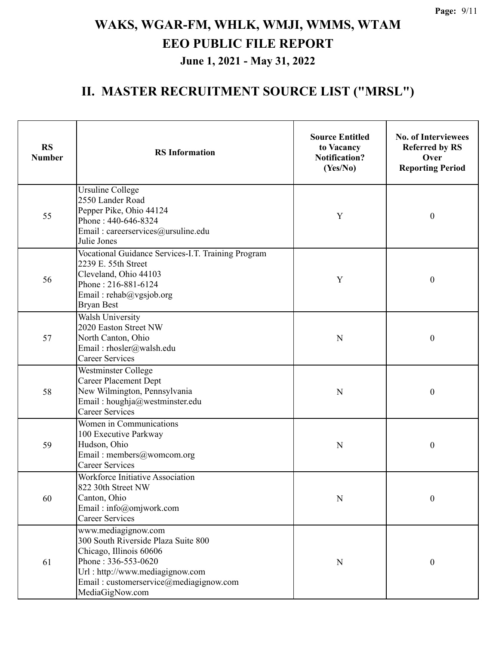| <b>RS</b><br><b>Number</b>                                                                                                         | <b>RS</b> Information                                                                                                                                                                                        | <b>Source Entitled</b><br>to Vacancy<br><b>Notification?</b><br>(Yes/No) | <b>No. of Interviewees</b><br><b>Referred by RS</b><br>Over<br><b>Reporting Period</b> |
|------------------------------------------------------------------------------------------------------------------------------------|--------------------------------------------------------------------------------------------------------------------------------------------------------------------------------------------------------------|--------------------------------------------------------------------------|----------------------------------------------------------------------------------------|
| 55                                                                                                                                 | <b>Ursuline College</b><br>2550 Lander Road<br>Pepper Pike, Ohio 44124<br>Phone: 440-646-8324<br>Email: careerservices@ursuline.edu<br>Julie Jones                                                           | Y                                                                        | $\boldsymbol{0}$                                                                       |
| 56                                                                                                                                 | Vocational Guidance Services-I.T. Training Program<br>2239 E. 55th Street<br>Cleveland, Ohio 44103<br>Phone: 216-881-6124<br>Email: rehab@vgsjob.org<br><b>Bryan Best</b>                                    | Y                                                                        | $\boldsymbol{0}$                                                                       |
| <b>Walsh University</b><br>2020 Easton Street NW<br>North Canton, Ohio<br>57<br>Email: rhosler@walsh.edu<br><b>Career Services</b> |                                                                                                                                                                                                              | N                                                                        | $\boldsymbol{0}$                                                                       |
| 58                                                                                                                                 | Westminster College<br><b>Career Placement Dept</b><br>New Wilmington, Pennsylvania<br>Email: houghja@westminster.edu<br><b>Career Services</b>                                                              | N                                                                        | $\boldsymbol{0}$                                                                       |
| 59                                                                                                                                 | Women in Communications<br>100 Executive Parkway<br>Hudson, Ohio<br>Email: members@womcom.org<br><b>Career Services</b>                                                                                      | N                                                                        | $\boldsymbol{0}$                                                                       |
| 60                                                                                                                                 | <b>Workforce Initiative Association</b><br>822 30th Street NW<br>Canton, Ohio<br>Email: info@omjwork.com<br><b>Career Services</b>                                                                           |                                                                          | 0                                                                                      |
| 61                                                                                                                                 | www.mediagignow.com<br>300 South Riverside Plaza Suite 800<br>Chicago, Illinois 60606<br>Phone: 336-553-0620<br>Url: http://www.mediagignow.com<br>Email: customerservice@mediagignow.com<br>MediaGigNow.com | N                                                                        | $\boldsymbol{0}$                                                                       |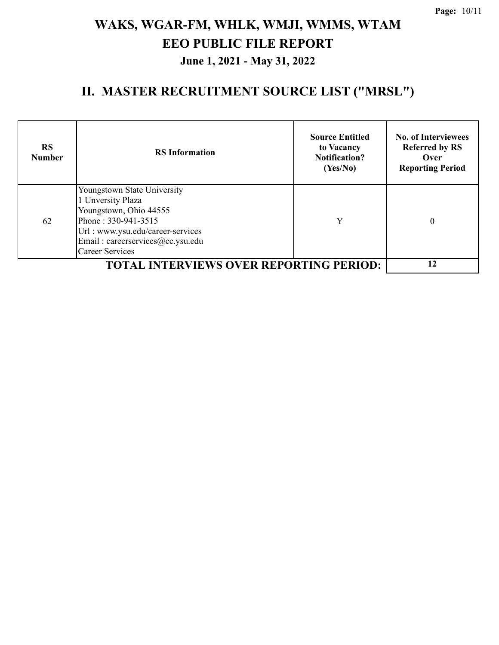| <b>RS</b><br><b>Number</b> | <b>RS</b> Information                                                                                                                                                                                | <b>Source Entitled</b><br>to Vacancy<br><b>Notification?</b><br>(Yes/No) | <b>No. of Interviewees</b><br><b>Referred by RS</b><br>Over<br><b>Reporting Period</b> |
|----------------------------|------------------------------------------------------------------------------------------------------------------------------------------------------------------------------------------------------|--------------------------------------------------------------------------|----------------------------------------------------------------------------------------|
| 62                         | Youngstown State University<br>1 Unversity Plaza<br>Youngstown, Ohio 44555<br>Phone: 330-941-3515<br>Url : www.ysu.edu/career-services<br>Email: careerservices@cc.ysu.edu<br><b>Career Services</b> | Y                                                                        | $\Omega$                                                                               |
|                            | <b>TOTAL INTERVIEWS OVER REPORTING PERIOD:</b>                                                                                                                                                       |                                                                          | 12                                                                                     |